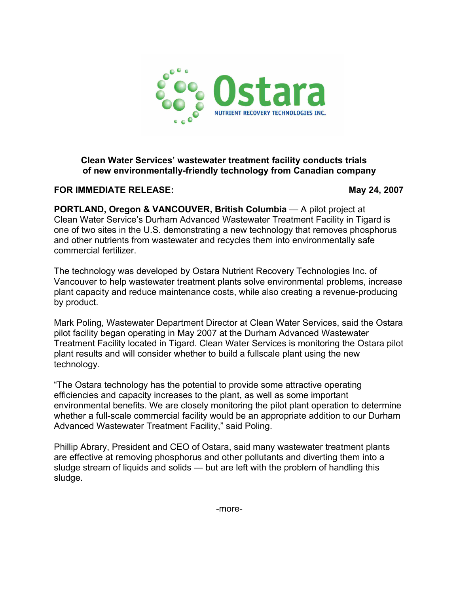

# **Clean Water Services' wastewater treatment facility conducts trials of new environmentally-friendly technology from Canadian company**

**FOR IMMEDIATE RELEASE:** May 24, 2007

**PORTLAND, Oregon & VANCOUVER, British Columbia** — A pilot project at Clean Water Service's Durham Advanced Wastewater Treatment Facility in Tigard is one of two sites in the U.S. demonstrating a new technology that removes phosphorus and other nutrients from wastewater and recycles them into environmentally safe commercial fertilizer.

The technology was developed by Ostara Nutrient Recovery Technologies Inc. of Vancouver to help wastewater treatment plants solve environmental problems, increase plant capacity and reduce maintenance costs, while also creating a revenue-producing by product.

Mark Poling, Wastewater Department Director at Clean Water Services, said the Ostara pilot facility began operating in May 2007 at the Durham Advanced Wastewater Treatment Facility located in Tigard. Clean Water Services is monitoring the Ostara pilot plant results and will consider whether to build a fullscale plant using the new technology.

"The Ostara technology has the potential to provide some attractive operating efficiencies and capacity increases to the plant, as well as some important environmental benefits. We are closely monitoring the pilot plant operation to determine whether a full-scale commercial facility would be an appropriate addition to our Durham Advanced Wastewater Treatment Facility," said Poling.

Phillip Abrary, President and CEO of Ostara, said many wastewater treatment plants are effective at removing phosphorus and other pollutants and diverting them into a sludge stream of liquids and solids — but are left with the problem of handling this sludge.

-more-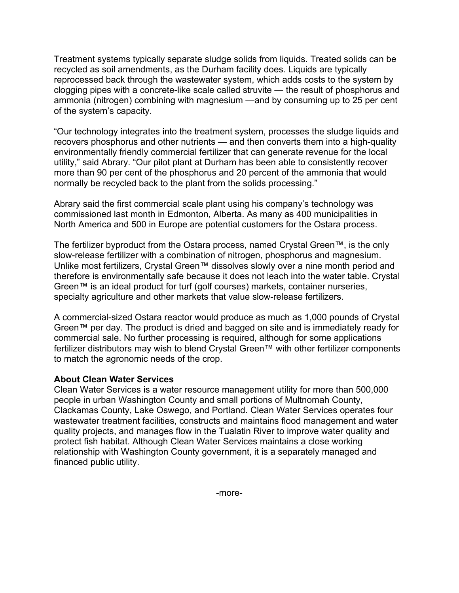Treatment systems typically separate sludge solids from liquids. Treated solids can be recycled as soil amendments, as the Durham facility does. Liquids are typically reprocessed back through the wastewater system, which adds costs to the system by clogging pipes with a concrete-like scale called struvite — the result of phosphorus and ammonia (nitrogen) combining with magnesium —and by consuming up to 25 per cent of the system's capacity.

"Our technology integrates into the treatment system, processes the sludge liquids and recovers phosphorus and other nutrients — and then converts them into a high-quality environmentally friendly commercial fertilizer that can generate revenue for the local utility," said Abrary. "Our pilot plant at Durham has been able to consistently recover more than 90 per cent of the phosphorus and 20 percent of the ammonia that would normally be recycled back to the plant from the solids processing."

Abrary said the first commercial scale plant using his company's technology was commissioned last month in Edmonton, Alberta. As many as 400 municipalities in North America and 500 in Europe are potential customers for the Ostara process.

The fertilizer byproduct from the Ostara process, named Crystal Green™, is the only slow-release fertilizer with a combination of nitrogen, phosphorus and magnesium. Unlike most fertilizers, Crystal Green™ dissolves slowly over a nine month period and therefore is environmentally safe because it does not leach into the water table. Crystal Green™ is an ideal product for turf (golf courses) markets, container nurseries, specialty agriculture and other markets that value slow-release fertilizers.

A commercial-sized Ostara reactor would produce as much as 1,000 pounds of Crystal Green™ per day. The product is dried and bagged on site and is immediately ready for commercial sale. No further processing is required, although for some applications fertilizer distributors may wish to blend Crystal Green™ with other fertilizer components to match the agronomic needs of the crop.

# **About Clean Water Services**

Clean Water Services is a water resource management utility for more than 500,000 people in urban Washington County and small portions of Multnomah County, Clackamas County, Lake Oswego, and Portland. Clean Water Services operates four wastewater treatment facilities, constructs and maintains flood management and water quality projects, and manages flow in the Tualatin River to improve water quality and protect fish habitat. Although Clean Water Services maintains a close working relationship with Washington County government, it is a separately managed and financed public utility.

-more-